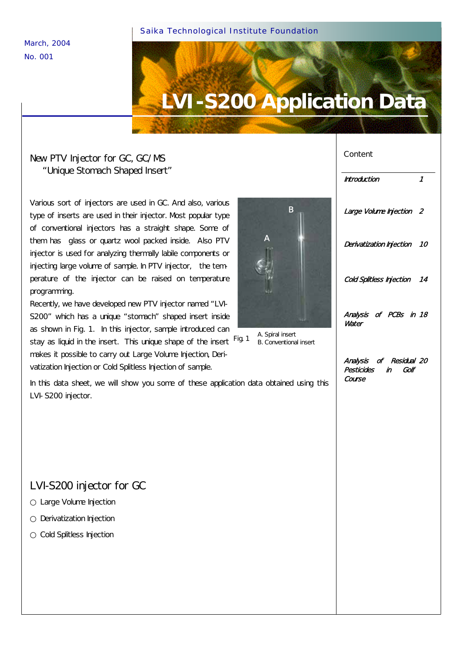Saika Technological Institute Foundation

March, 2004 No. 001

# **LVI-S200 Application Data**

#### New PTV Injector for GC, GC/MS "Unique Stomach Shaped Insert"

Various sort of injectors are used in GC. And also, various type of inserts are used in their injector. Most popular type of conventional injectors has a straight shape. Some of them has glass or quartz wool packed inside. Also PTV injector is used for analyzing thermally labile components or injecting large volume of sample. In PTV injector, the temperature of the injector can be raised on temperature programming.

Recently, we have developed new PTV injector named "LVI-S200" which has a unique "stomach" shaped insert inside as shown in Fig. 1. In this injector, sample introduced can

stay as liquid in the insert. This unique shape of the insert <sup>Fig. 1</sup> makes it possible to carry out Large Volume Injection, Derivatization Injection or Cold Splitless Injection of sample.

In this data sheet, we will show you some of these application data obtained using this LVI-S200 injector.

#### LVI-S200 injector for GC

Large Volume Injection Derivatization Injection Cold Splitless Injection



# Content Introduction 1 Large Volume Injection 2 Derivatization Injection 10 Cold Splitless Injection 14 Analysis of PCBs in 18 **Water** Analysis of Residual 20 Pesticides in Golf Course

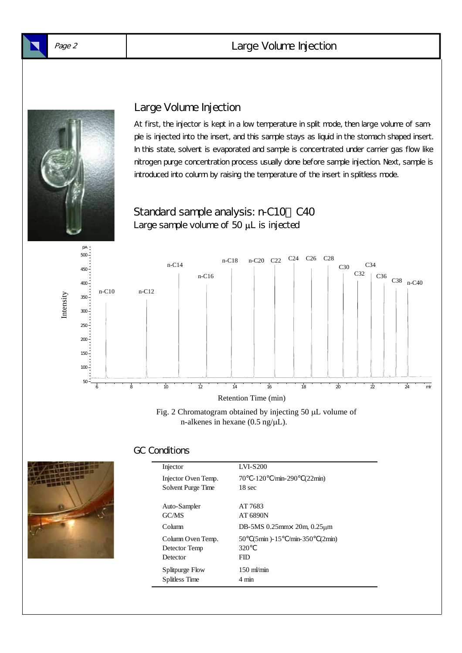#### Page 2 Large Volume Injection



#### Large Volume Injection

At first, the injector is kept in a low temperature in split mode, then large volume of sample is injected into the insert, and this sample stays as liquid in the stomach shaped insert. In this state, solvent is evaporated and sample is concentrated under carrier gas flow like nitrogen purge concentration process usually done before sample injection. Next, sample is introduced into column by raising the temperature of the insert in splitless mode.





Fig. 2 Chromatogram obtained by injecting 50 µL volume of n-alkenes in hexane  $(0.5 \text{ ng/µL})$ .

#### GC Conditions



#### Injector LVI-S200 Injector Oven Temp. 70 -120 /min-290 (22min) Solvent Purge Time 18 sec Auto-Sampler AT 7683 GC/MS AT 6890N Column  $DB-5MS$  0.25mm $\times$  20m, 0.25 $\mu$ m Column Oven Temp. 50 (5min )-15 /min-350 (2min) Detector Temp 320 Detector FID Splitpurge Flow 150 ml/min Splitless Time 4 min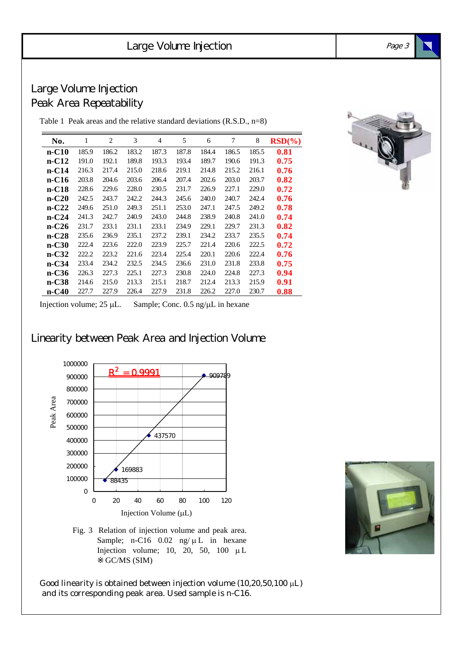#### Large Volume Injection Peak Area Repeatability

Table 1 Peak areas and the relative standard deviations (R.S.D., n=8)

| No.     | 1     | $\overline{2}$ | 3     | 4     | 5     | 6     | 7     | 8     | $RSD(\%)$ |
|---------|-------|----------------|-------|-------|-------|-------|-------|-------|-----------|
| $n-C10$ | 185.9 | 186.2          | 183.2 | 187.3 | 187.8 | 184.4 | 186.5 | 185.5 | 0.81      |
| $n-C12$ | 191.0 | 192.1          | 189.8 | 193.3 | 193.4 | 189.7 | 190.6 | 191.3 | 0.75      |
| $n-C14$ | 216.3 | 217.4          | 215.0 | 218.6 | 219.1 | 214.8 | 215.2 | 216.1 | 0.76      |
| $n-C16$ | 203.8 | 204.6          | 203.6 | 206.4 | 207.4 | 202.6 | 203.0 | 203.7 | 0.82      |
| $n-C18$ | 228.6 | 229.6          | 228.0 | 230.5 | 231.7 | 226.9 | 227.1 | 229.0 | 0.72      |
| $n-C20$ | 242.5 | 243.7          | 242.2 | 244.3 | 245.6 | 240.0 | 240.7 | 242.4 | 0.76      |
| $n-C22$ | 249.6 | 251.0          | 249.3 | 251.1 | 253.0 | 247.1 | 247.5 | 249.2 | 0.78      |
| $n-C24$ | 241.3 | 242.7          | 240.9 | 243.0 | 244.8 | 238.9 | 240.8 | 241.0 | 0.74      |
| $n-C26$ | 231.7 | 233.1          | 231.1 | 233.1 | 234.9 | 229.1 | 229.7 | 231.3 | 0.82      |
| $n-C28$ | 235.6 | 236.9          | 235.1 | 237.2 | 239.1 | 234.2 | 233.7 | 235.5 | 0.74      |
| $n-C30$ | 222.4 | 223.6          | 222.0 | 223.9 | 225.7 | 221.4 | 220.6 | 222.5 | 0.72      |
| $n-C32$ | 222.2 | 223.2          | 221.6 | 223.4 | 225.4 | 220.1 | 220.6 | 222.4 | 0.76      |
| $n-C34$ | 233.4 | 234.2          | 232.5 | 234.5 | 236.6 | 231.0 | 231.8 | 233.8 | 0.75      |
| $n-C36$ | 226.3 | 227.3          | 225.1 | 227.3 | 230.8 | 224.0 | 224.8 | 227.3 | 0.94      |
| $n-C38$ | 214.6 | 215.0          | 213.3 | 215.1 | 218.7 | 212.4 | 213.3 | 215.9 | 0.91      |
| $n-C40$ | 227.7 | 227.9          | 226.4 | 227.9 | 231.8 | 226.2 | 227.0 | 230.7 | 0.88      |



Injection volume; 25 µL. Sample; Conc. 0.5 ng/µL in hexane

Linearity between Peak Area and Injection Volume



Fig. 3 Relation of injection volume and peak area. Sample; n-C16  $0.02$  ng/ $\mu$ L in hexane Injection volume; 10, 20, 50, 100  $\mu$ L GC/MS (SIM)

Good linearity is obtained between injection volume  $(10, 20, 50, 100 \mu L)$ and its corresponding peak area. Used sample is n-C16.

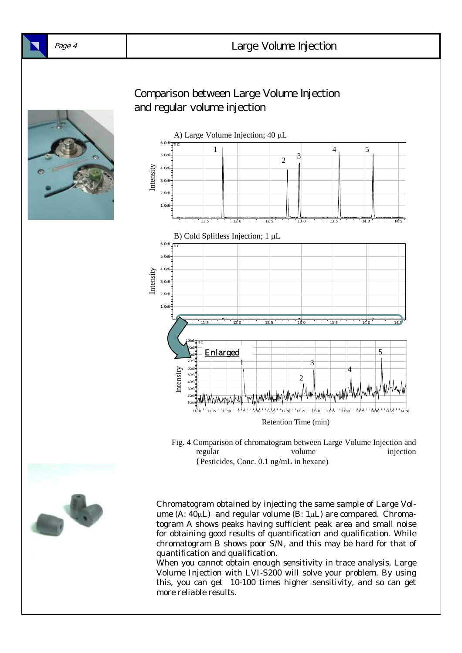

10e3 20e  $30<sub>B</sub>$ 



Chromatogram obtained by injecting the same sample of Large Volume  $(A: 40\mu L)$  and regular volume  $(B: 1\mu L)$  are compared. Chromatogram A shows peaks having sufficient peak area and small noise for obtaining good results of quantification and qualification. While chromatogram B shows poor S/N, and this may be hard for that of quantification and qualification.

11.00 11.25 11.50 11.75 12.00 12.25 12.50 12.75 13.00 13.25 13.50 13.75 14.00 14.25 14.50

regular volume injection

Retention Time (min)

Fig. 4 Comparison of chromatogram between Large Volume Injection and

(Pesticides, Conc. 0.1 ng/mL in hexane)

When you cannot obtain enough sensitivity in trace analysis, Large Volume Injection with LVI-S200 will solve your problem. By using this, you can get 10-100 times higher sensitivity, and so can get more reliable results.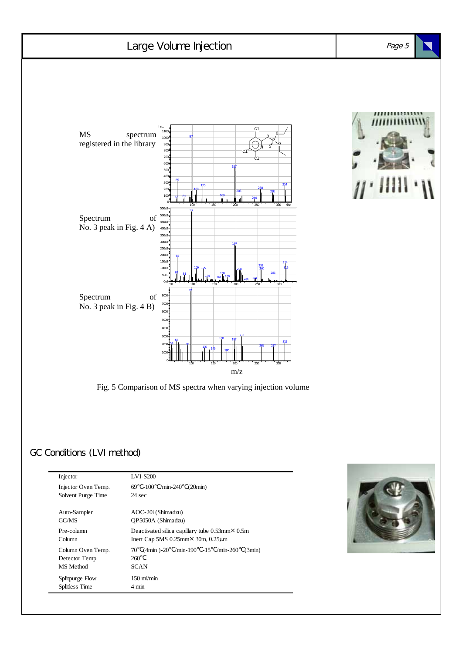

GC/MS QP5050A (Shimadzu) Pre-column Deactivated silica capillary tube 0.53mm×0.5m Column Inert Cap 5MS 0.25mm×30m, 0.25µm Column Oven Temp. 70 (4min )-20 /min-190 -15 /min-260 (3min) Detector Temp 260 MS Method SCAN Splitpurge Flow 150 ml/min Splitless Time 4 min

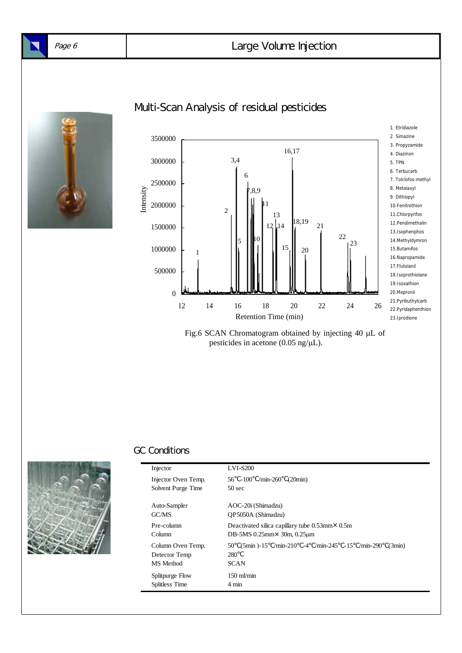

# Multi-Scan Analysis of residual pesticides



Fig.6 SCAN Chromatogram obtained by injecting 40 µL of pesticides in acetone (0.05 ng/µL).



| Injector                                        | <b>LVI-S200</b>                                                                                                  |
|-------------------------------------------------|------------------------------------------------------------------------------------------------------------------|
| Injector Oven Temp.<br>Solvent Purge Time       | $\text{/min-260}$<br>(20min)<br>56 -100<br>$50 \text{ sec}$                                                      |
|                                                 |                                                                                                                  |
| Auto-Sampler<br>GC/MS                           | AOC-20i (Shimadzu)<br>OP5050A (Shimadzu)                                                                         |
| Pre-column<br><b>Column</b>                     | Deactivated silica capillary tube $0.53$ mm $\times$ 0.5m<br>DB-5MS $0.25$ mm $\times$ 30m, $0.25$ µm            |
| Column Oven Temp.<br>Detector Temp<br>MS Method | $\text{min-210}$ -4 $\text{min-245}$ -15 $\text{min-290}$<br>$(5min) - 15$<br>50<br>(3min)<br>280<br><b>SCAN</b> |
| Splitpurge Flow<br>Splitless Time               | $150 \text{ m}$ /min<br>$4 \text{ min}$                                                                          |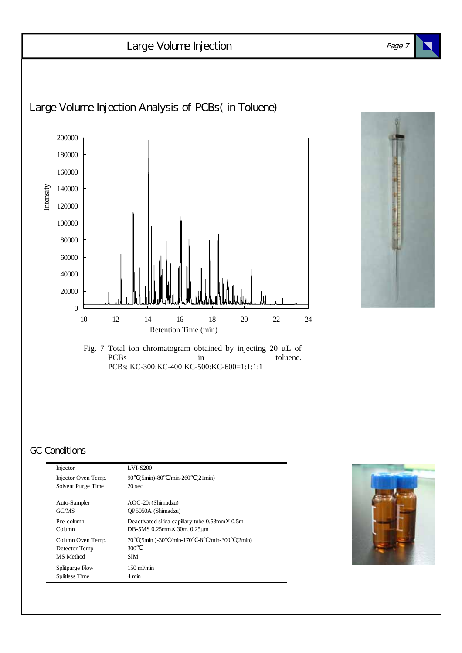

| Injector Oven Temp.<br>Solvent Purge Time       | $(5min) - 80$<br>$\mathrm{min}\text{-}260$<br>(21min)<br>90<br>$20 \text{ sec}$ |
|-------------------------------------------------|---------------------------------------------------------------------------------|
| Auto-Sampler                                    | AOC-20i (Shimadzu)                                                              |
| GCMS                                            | OP5050A (Shimadzu)                                                              |
| Pre-column                                      | Deactivated silica capillary tube $0.53$ mm $\times$ 0.5m                       |
| Column                                          | DB-5MS $0.25$ mm $\times$ 30m, $0.25$ µm                                        |
| Column Oven Temp.<br>Detector Temp<br>MS Method | $(5min) -30$ /min-170 -8 /min-300<br>70<br>(2min)<br>300<br><b>SIM</b>          |
| Splitpurge Flow                                 | $150 \text{ m}$ /min                                                            |
| Splitless Time                                  | $4 \text{ min}$                                                                 |

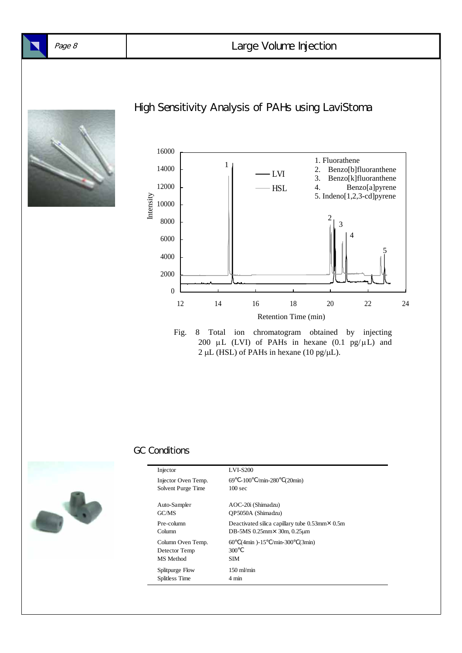



Fig. 8 Total ion chromatogram obtained by injecting 200  $\mu$ L (LVI) of PAHs in hexane (0.1 pg/ $\mu$ L) and  $2 \mu L$  (HSL) of PAHs in hexane (10 pg/ $\mu$ L).



| Injector                                        | <b>LVI-S200</b>                                                                                       |
|-------------------------------------------------|-------------------------------------------------------------------------------------------------------|
| Injector Oven Temp.<br>Solvent Purge Time       | $/min-280$<br>$69 - 100$<br>(20min)<br>100 <sub>sec</sub>                                             |
| Auto-Sampler<br>GCMS                            | AOC-20i (Shimadzu)<br>OP5050A (Shimadzu)                                                              |
| Pre-column<br>Column                            | Deactivated silica capillary tube $0.53$ mm $\times$ 0.5m<br>DB-5MS $0.25$ mm $\times$ 30m, $0.25$ µm |
| Column Oven Temp.<br>Detector Temp<br>MS Method | 60<br>$(4min) - 15$<br>$/min-300$<br>(3min)<br>300<br><b>SIM</b>                                      |
| Splitpurge Flow<br>Splitless Time               | $150 \text{ m}$ /min<br>$4 \text{ min}$                                                               |
|                                                 |                                                                                                       |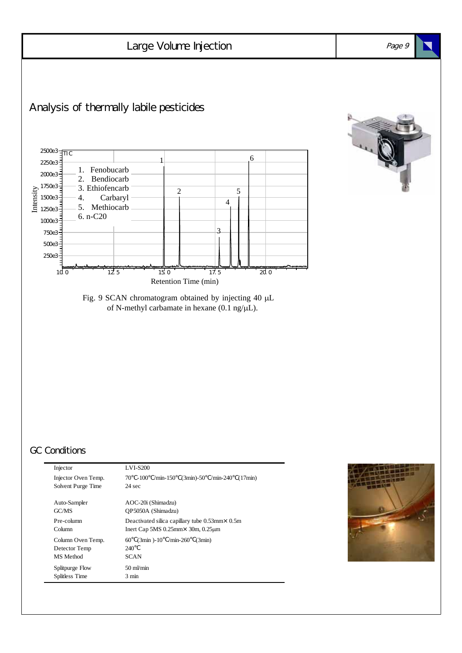

| Injector Oven Temp.<br>Solvent Purge Time       | $70 - 100$ /min-150 (3min)-50 /min-240<br>(17min)<br>$24 \text{ sec}$ |
|-------------------------------------------------|-----------------------------------------------------------------------|
| Auto-Sampler                                    | AOC-20i (Shimadzu)                                                    |
| GC/MS                                           | OP5050A (Shimadzu)                                                    |
| Pre-column                                      | Deactivated silica capillary tube $0.53$ mm $\times$ 0.5m             |
| Column                                          | Inert Cap 5MS $0.25$ mm $\times$ 30m, $0.25$ $\mu$ m                  |
| Column Oven Temp.<br>Detector Temp<br>MS Method | $(3min) - 10$ /min-260<br>60<br>(3min)<br>240<br><b>SCAN</b>          |
| Splitpurge Flow                                 | $50 \text{ m/min}$                                                    |
| Splitless Time                                  | $3 \text{ min}$                                                       |

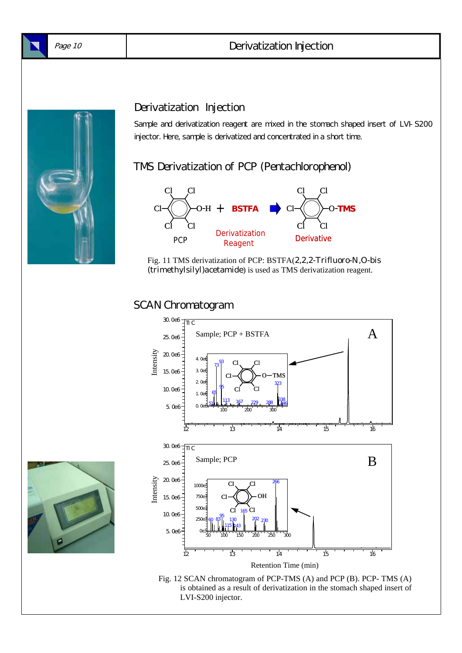

#### Derivatization Injection



#### Derivatization Injection

Sample and derivatization reagent are mixed in the stomach shaped insert of LVI-S200 injector. Here, sample is derivatized and concentrated in a short time.

#### TMS Derivatization of PCP (Pentachlorophenol)



Fig. 11 TMS derivatization of PCP: BSTFA(2,2,2-Trifluoro-N,O-bis (trimethylsilyl)acetamide) is used as TMS derivatization reagent.

#### SCAN Chromatogram



Fig. 12 SCAN chromatogram of PCP-TMS (A) and PCP (B). PCP- TMS (A) is obtained as a result of derivatization in the stomach shaped insert of LVI-S200 injector.

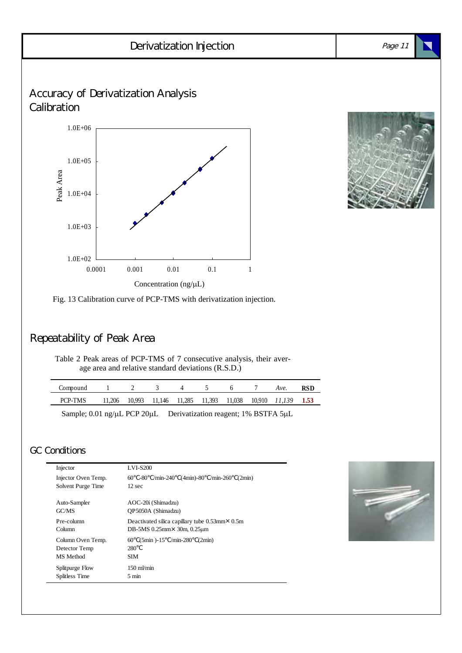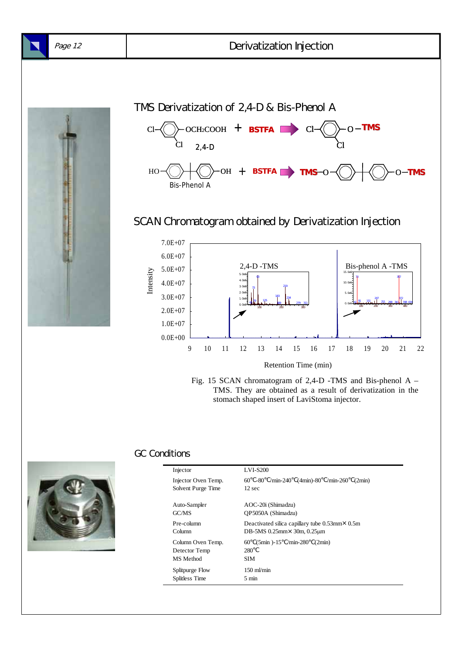

TMS Derivatization of 2,4-D & Bis-Phenol A SCAN Chromatogram obtained by Derivatization Injection 5.0E+07 6.0E+07 7.0E+07 15.0e6  $Cl$   $\bigotimes$  och2cooh + **bstfa** Cl 2,4-D Bis-Phenol A HO  $\left(\bigcirc\right)$   $\left(\bigcirc\right)$  oh  $+$  **Bstfa TMS**  $\circ$   $\left(\bigcirc\right)$   $\left(\bigcirc\right)$   $\left(\bigcirc\right)$  o-**tMS CI--{( )}- O - TMS** Cl 2,4-D -TMS Bis-phenol A -TMS







| Injector              | <b>LVI-S200</b>                                                      |
|-----------------------|----------------------------------------------------------------------|
| Injector Oven Temp.   | $/min-240$ (4 $min$ )-80<br>$60 - 80$<br>$\text{/min-260}$<br>(2min) |
| Solvent Purge Time    | 12 sec                                                               |
| Auto-Sampler<br>GC/MS | AOC-20i (Shimadzu)<br>OP5050A (Shimadzu)                             |
| Pre-column            | Deactivated silica capillary tube $0.53$ mm $\times$ 0.5m            |
| Column                | DB-5MS $0.25$ mm $\times$ 30m, $0.25$ µm                             |
| Column Oven Temp.     | $(5min) -15$ /min-280<br>60<br>(2min)                                |
| Detector Temp         | 280                                                                  |
| MS Method             | SIM                                                                  |
| Splitpurge Flow       | $150 \text{ m}$ /min                                                 |
| Splitless Time        | $5 \text{ min}$                                                      |
|                       |                                                                      |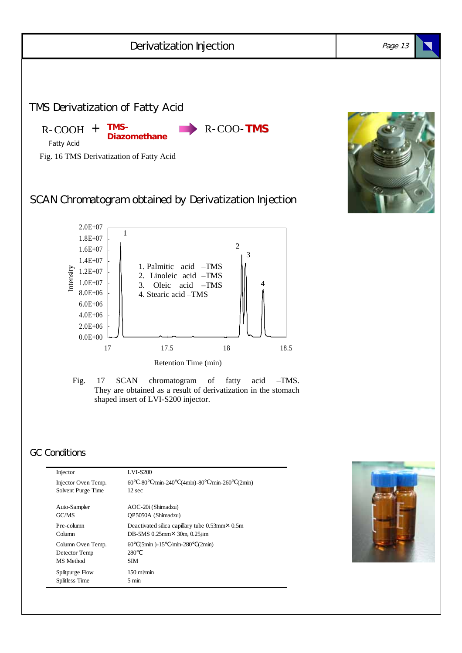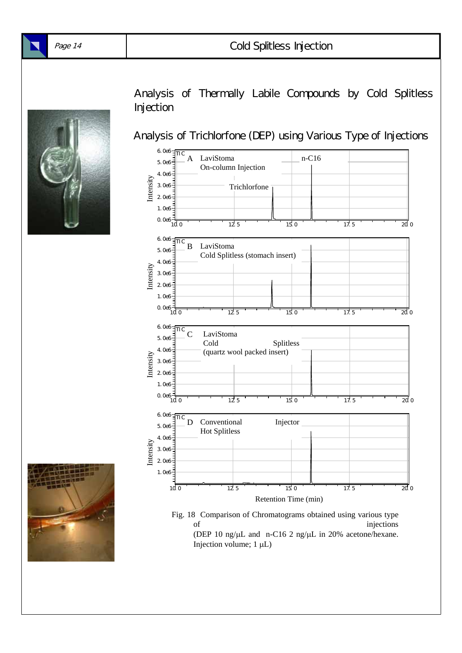

Analysis of Thermally Labile Compounds by Cold Splitless Injection

Analysis of Trichlorfone (DEP) using Various Type of Injections



Fig. 18 Comparison of Chromatograms obtained using various type of injections (DEP 10 ng/ $\mu$ L and n-C16 2 ng/ $\mu$ L in 20% acetone/hexane. Injection volume;  $1 \mu L$ )

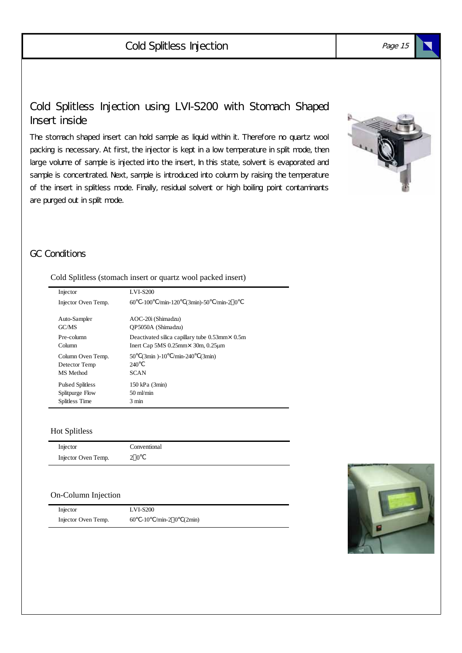### Cold Splitless Injection using LVI-S200 with Stomach Shaped Insert inside

The stomach shaped insert can hold sample as liquid within it. Therefore no quartz wool packing is necessary. At first, the injector is kept in a low temperature in split mode, then large volume of sample is injected into the insert, In this state, solvent is evaporated and sample is concentrated. Next, sample is introduced into column by raising the temperature of the insert in splitless mode. Finally, residual solvent or high boiling point contaminants are purged out in split mode.



#### GC Conditions

#### Cold Splitless (stomach insert or quartz wool packed insert)

| Injector                                        | <b>LVI-S200</b>                                                  |
|-------------------------------------------------|------------------------------------------------------------------|
| Injector Oven Temp.                             | $\mathrm{min-120}$<br>$(3min)-50$<br>$/min-2$ 0<br>60.<br>$-100$ |
| Auto-Sampler                                    | AOC-20i (Shimadzu)                                               |
| GC/MS                                           | OP5050A (Shimadzu)                                               |
| Pre-column                                      | Deactivated silica capillary tube $0.53$ mm $\times$ 0.5m        |
| Column                                          | Inert Cap 5MS $0.25$ mm $\times$ 30m, $0.25$ $\mu$ m             |
| Column Oven Temp.<br>Detector Temp<br>MS Method | $(3min) - 10$ /min-240<br>50<br>(3min)<br>240<br><b>SCAN</b>     |
| <b>Pulsed Splitless</b>                         | 150 kPa (3min)                                                   |
| Splitpurge Flow                                 | $50 \text{ mV}$ min                                              |
| Splitless Time                                  | $3 \text{ min}$                                                  |

#### Hot Splitless

| Injector            | Conventional |
|---------------------|--------------|
| Injector Oven Temp. | 20           |

#### On-Column Injection

| Injector            | <b>LVI-S200</b>          |
|---------------------|--------------------------|
| Injector Oven Temp. | 60 -10 /min-2 0 $(2min)$ |

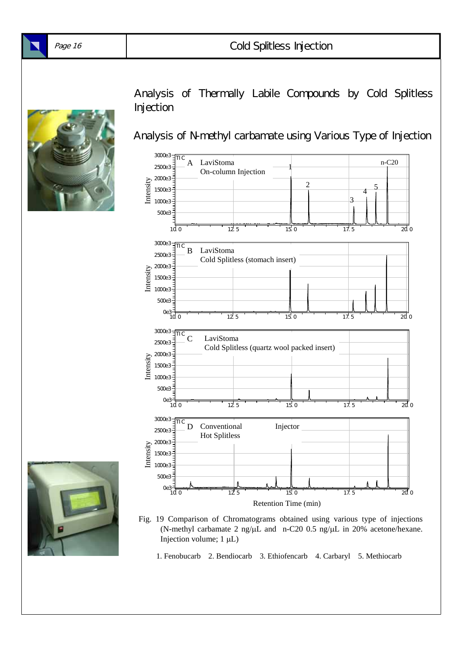

Analysis of Thermally Labile Compounds by Cold Splitless **Injection** 

Analysis of N-methyl carbamate using Various Type of Injection





- Fig. 19 Comparison of Chromatograms obtained using various type of injections (N-methyl carbamate 2 ng/µL and n-C20 0.5 ng/µL in 20% acetone/hexane. Injection volume;  $1 \mu L$ )
	- 1. Fenobucarb 2. Bendiocarb 3. Ethiofencarb 4. Carbaryl 5. Methiocarb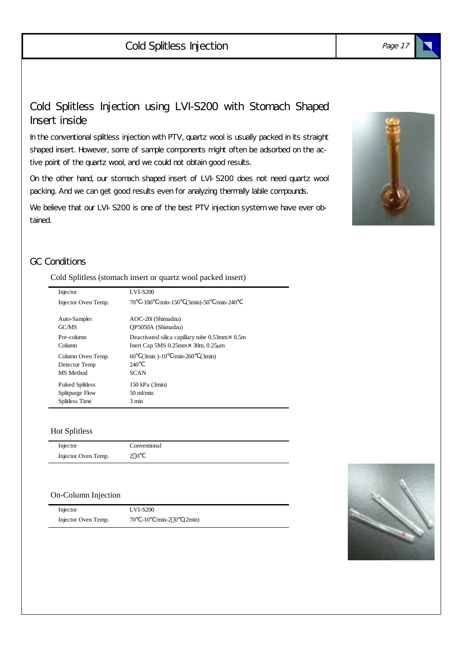# Cold Splitless Injection

#### Cold Splitless Injection using LVI-S200 with Stomach Shaped Insert inside

In the conventional splitless injection with PTV, quartz wool is usually packed in its straight shaped insert. However, some of sample components might often be adsorbed on the active point of the quartz wool, and we could not obtain good results.

On the other hand, our stomach shaped insert of LVI-S200 does not need quartz wool packing. And we can get good results even for analyzing thermally labile compounds.

We believe that our LVI-S200 is one of the best PTV injection system we have ever obtained.



#### GC Conditions

#### Cold Splitless (stomach insert or quartz wool packed insert)

| Injector                                        | <b>LVI-S200</b>                                                          |
|-------------------------------------------------|--------------------------------------------------------------------------|
| Injector Oven Temp.                             | $/min-150$<br>$(3min) - 50$<br>70<br>$-100$<br>$/min-240$                |
| Auto-Sampler                                    | AOC-20i (Shimadzu)                                                       |
| GC/MS                                           | OP5050A (Shimadzu)                                                       |
| Pre-column                                      | Deactivated silica capillary tube $0.53$ mm $\times$ 0.5m                |
| Column                                          | Inert Cap 5MS $0.25$ mm $\times$ 30m, $0.25$ $\mu$ m                     |
| Column Oven Temp.<br>Detector Temp<br>MS Method | $(3min) - 10$<br>$\text{/min-260}$<br>(3min)<br>60<br>240<br><b>SCAN</b> |
| <b>Pulsed Splitless</b>                         | 150 kPa (3min)                                                           |
| Splitpurge Flow                                 | $50 \text{ m/min}$                                                       |
| Splitless Time                                  | 3 min                                                                    |

#### Hot Splitless

| Injector            | Conventional |
|---------------------|--------------|
| Injector Oven Temp. | 20           |

#### On-Column Injection

| Injector            | <b>LVI-S200</b>           |
|---------------------|---------------------------|
| Injector Oven Temp. | $70 - 10$ /min-2 0 (2min) |



Page 17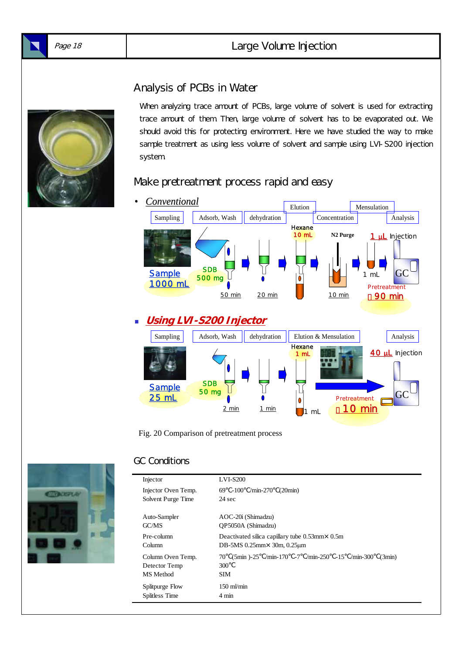#### Page 18 Large Volume Injection

#### Analysis of PCBs in Water

When analyzing trace amount of PCBs, large volume of solvent is used for extracting trace amount of them. Then, large volume of solvent has to be evaporated out. We should avoid this for protecting environment. Here we have studied the way to make sample treatment as using less volume of solvent and sample using LVI-S200 injection system.

#### Make pretreatment process rapid and easy



Fig. 20 Comparison of pretreatment process



| Injector                                        | <b>LVI-S200</b>                                                                            |  |  |
|-------------------------------------------------|--------------------------------------------------------------------------------------------|--|--|
| Injector Oven Temp.<br>Solvent Purge Time       | $69 - 100$<br>$/min-270$<br>(20min)<br>24 sec                                              |  |  |
| Auto-Sampler                                    | AOC-20i (Shimadzu)                                                                         |  |  |
| GC/MS                                           | OP5050A (Shimadzu)                                                                         |  |  |
| Pre-column                                      | Deactivated silica capillary tube $0.53$ mm $\times$ 0.5m                                  |  |  |
| Column                                          | DB-5MS $0.25$ mm $\times$ 30m, $0.25$ µm                                                   |  |  |
| Column Oven Temp.<br>Detector Temp<br>MS Method | $(5\text{min})$ -25 /min-170 -7 /min-250 -15 /min-300<br>70<br>(3min)<br>300<br><b>SIM</b> |  |  |
| Splitpurge Flow                                 | $150 \text{ m/min}$                                                                        |  |  |
| Splitless Time                                  | $4 \text{ min}$                                                                            |  |  |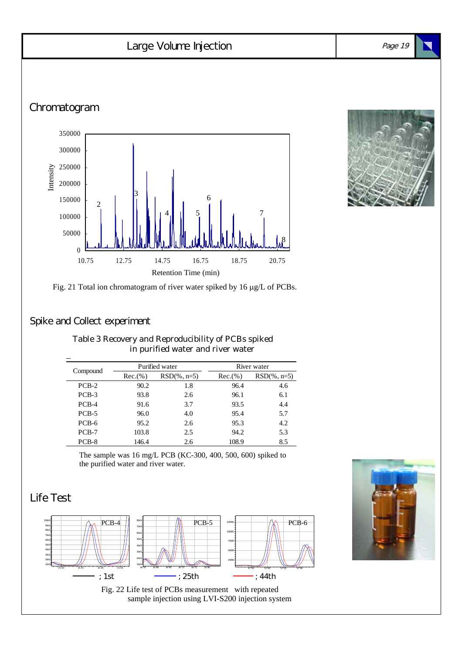#### Chromatogram Page 19 Large Volume Injection  $\overline{0}$ 50000 100000 150000 200000 250000 300000 350000 10.75 12.75 14.75 16.75 18.75 20.75 Intensity Retention Time (min) 2 3  $4$   $1$   $5$ 6 7 8

#### Spike and Collect experiment

Table 3 Recovery and Reproducibility of PCBs spiked in purified water and river water

|          |          | Purified water  | River water |                 |  |
|----------|----------|-----------------|-------------|-----------------|--|
| Compound | Rec.(% ) | $RSD(\% , n=5)$ | Rec.(% )    | $RSD(\% , n=5)$ |  |
| $PCB-2$  | 90.2     | 1.8             | 96.4        | 4.6             |  |
| $PCB-3$  | 93.8     | 2.6             | 96.1        | 6.1             |  |
| $PCB-4$  | 91.6     | 3.7             | 93.5        | 4.4             |  |
| $PCB-5$  | 96.0     | 4.0             | 95.4        | 5.7             |  |
| PCB-6    | 95.2     | 2.6             | 95.3        | 4.2             |  |
| $PCB-7$  | 103.8    | 2.5             | 94.2        | 5.3             |  |
| $PCB-8$  | 146.4    | 2.6             | 108.9       | 8.5             |  |

The sample was 16 mg/L PCB (KC-300, 400, 500, 600) spiked to the purified water and river water.

# Life Test





Fig. 21 Total ion chromatogram of river water spiked by 16 µg/L of PCBs.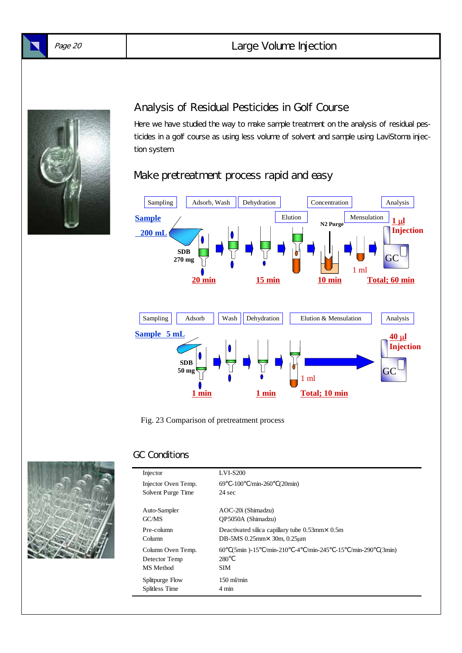

### Analysis of Residual Pesticides in Golf Course

Here we have studied the way to make sample treatment on the analysis of residual pesticides in a golf course as using less volume of solvent and sample using LaviStoma injection system.

# Make pretreatment process rapid and easy



Fig. 23 Comparison of pretreatment process



| Injector            | <b>LVI-S200</b>                                                       |  |  |
|---------------------|-----------------------------------------------------------------------|--|--|
| Injector Oven Temp. | $/min-260$<br>$69 - 100$<br>(20min)                                   |  |  |
| Solvent Purge Time  | $24 \text{ sec}$                                                      |  |  |
|                     |                                                                       |  |  |
| Auto-Sampler        | AOC-20i (Shimadzu)                                                    |  |  |
| GC/MS               | OP5050A (Shimadzu)                                                    |  |  |
| Pre-column          | Deactivated silica capillary tube $0.53$ mm $\times$ 0.5m             |  |  |
| Column              | DB-5MS $0.25$ mm $\times$ 30m, $0.25$ µm                              |  |  |
| Column Oven Temp.   | $(5\text{min})$ -15 /min-210 -4 /min-245 -15 /min-290<br>60<br>(3min) |  |  |
| Detector Temp       | 280                                                                   |  |  |
| MS Method           | <b>SIM</b>                                                            |  |  |
| Splitpurge Flow     | $150 \text{ m/min}$                                                   |  |  |
| Splitless Time      | 4 min                                                                 |  |  |
|                     |                                                                       |  |  |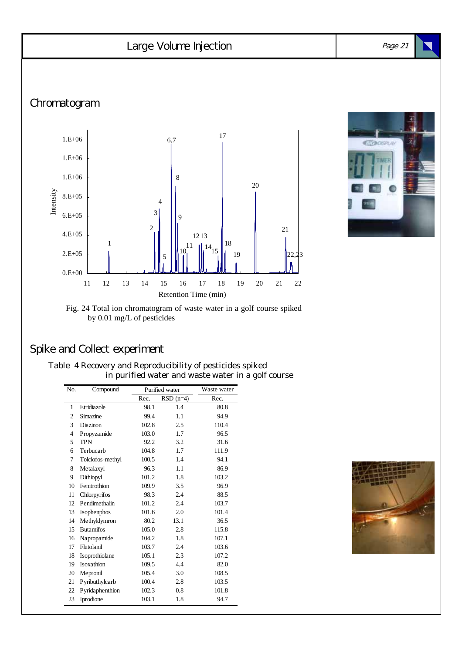# Large Volume Injection

Chromatogram





#### Fig. 24 Total ion chromatogram of waste water in a golf course spiked by 0.01 mg/L of pesticides

# Spike and Collect experiment

| Table 4 Recovery and Reproducibility of pesticides spiked |  |
|-----------------------------------------------------------|--|
| in purified water and waste water in a golf course        |  |

| No. | Compound         | Purified water |             | Waste water |
|-----|------------------|----------------|-------------|-------------|
|     |                  | Rec.           | $RSD$ (n=4) | Rec.        |
| 1   | Etridiazole      | 98.1           | 1.4         | 80.8        |
| 2   | Simazine         | 99.4           | 1.1         | 94.9        |
| 3   | Diazinon         | 102.8          | 2.5         | 110.4       |
| 4   | Propyzamide      | 103.0          | 1.7         | 96.5        |
| 5   | <b>TPN</b>       | 92.2           | 3.2         | 31.6        |
| 6   | Terbucarb        | 104.8          | 1.7         | 111.9       |
| 7   | Tolclofos-methyl | 100.5          | 1.4         | 94.1        |
| 8   | Metalaxyl        | 96.3           | 1.1         | 86.9        |
| 9   | Dithiopyl        | 101.2          | 1.8         | 103.2       |
| 10  | Fenitrothion     | 109.9          | 3.5         | 96.9        |
| 11  | Chlorpyrifos     | 98.3           | 2.4         | 88.5        |
| 12  | Pendimethalin    | 101.2          | 2.4         | 103.7       |
| 13  | Isophenphos      | 101.6          | 2.0         | 101.4       |
| 14  | Methyldymron     | 80.2           | 13.1        | 36.5        |
| 15  | <b>Butamifos</b> | 105.0          | 2.8         | 115.8       |
| 16  | Napropamide      | 104.2          | 1.8         | 107.1       |
| 17  | Flutolanil       | 103.7          | 2.4         | 103.6       |
| 18  | Isoprothiolane   | 105.1          | 2.3         | 107.2       |
| 19  | Isoxathion       | 109.5          | 4.4         | 82.0        |
| 20  | Mepronil         | 105.4          | 3.0         | 108.5       |
| 21  | Pyributhylcarb   | 100.4          | 2.8         | 103.5       |
| 22  | Pyridaphenthion  | 102.3          | 0.8         | 101.8       |
| 23  | Iprodione        | 103.1          | 1.8         | 94.7        |



Page 21